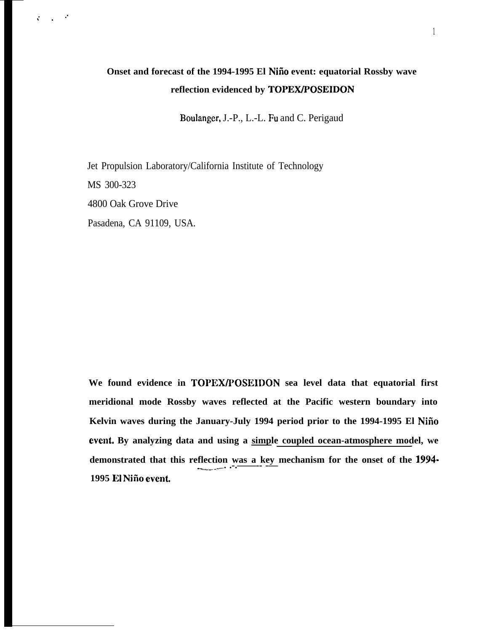## **Onset and forecast of the 1994-1995 El Niño event: equatorial Rossby wave reflection evidenced by TOPEWPOSEIDON**

Boulanger, J.-P., L.-L. Fu and C. Perigaud

Jet Propulsion Laboratory/California Institute of Technology MS 300-323 4800 Oak Grove Drive Pasadena, CA 91109, USA.

,.

 $\mathbf{v}$ 

We found evidence in **TOPEX/POSEIDON** sea level data that equatorial first **meridional mode Rossby waves reflected at the Pacific western boundary into Kelvin waves during the January-July 1994 period prior to the 1994-1995 El Niiio event.** By analyzing data and using a <u>simple coupled ocean-atmosphere mod</u>el, we **demonstrated that this reflection was a key mechanism for the onset of the 1994-1995 El Niiio evenL**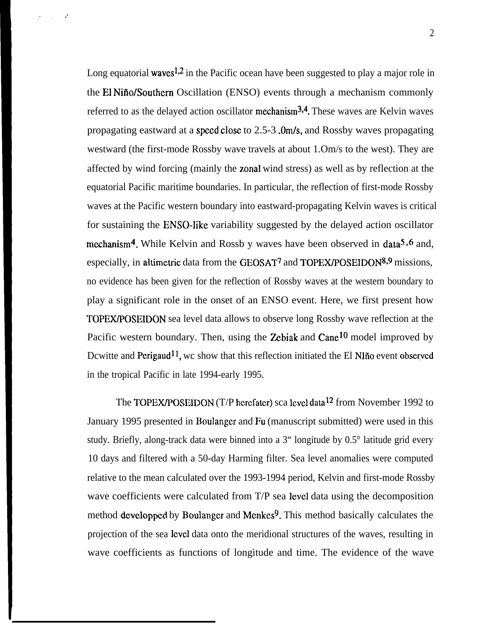Long equatorial waves<sup>1,2</sup> in the Pacific ocean have been suggested to play a major role in the El Nifio/Southern Oscillation (ENSO) events through a mechanism commonly referred to as the delayed action oscillator mechanism<sup>3,4</sup>. These waves are Kelvin waves propagating eastward at a speed close to 2.5-3 .Om/s, and Rossby waves propagating westward (the first-mode Rossby wave travels at about 1.Om/s to the west). They are affected by wind forcing (mainly the zonal wind stress) as well as by reflection at the equatorial Pacific maritime boundaries. In particular, the reflection of first-mode Rossby waves at the Pacific western boundary into eastward-propagating Kelvin waves is critical for sustaining the ENSO-like variability suggested by the delayed action oscillator mcchanism<sup>4</sup>. While Kelvin and Rossb y waves have been observed in data<sup>5,6</sup> and, especially, in altimetric data from the GEOSAT<sup>7</sup> and TOPEX/POSEIDON<sup>8,9</sup> missions, no evidence has been given for the reflection of Rossby waves at the western boundary to play a significant role in the onset of an ENSO event. Here, we first present how TOPEWPOSEIDON sea level data allows to observe long Rossby wave reflection at the Pacific western boundary. Then, using the Zebiak and  $Cane<sup>10</sup>$  model improved by Dcwitte and Perigaud<sup>11</sup>, wc show that this reflection initiated the El NI $\tilde{n}$ o event observed in the tropical Pacific in late 1994-early 1995.

 $\bullet$ 

." .

The TOPEX/POSEIDON (T/P herefater) sca level data<sup>12</sup> from November 1992 to January 1995 presented in Boulanger and Fu (manuscript submitted) were used in this study. Briefly, along-track data were binned into a 3" longitude by 0.5° latitude grid every 10 days and filtered with a 50-day Harming filter. Sea level anomalies were computed relative to the mean calculated over the 1993-1994 period, Kelvin and first-mode Rossby wave coefficients were calculated from T/P sea level data using the decomposition method developped by Boulanger and Menkes<sup>9</sup>. This method basically calculates the projection of the sea level data onto the meridional structures of the waves, resulting in wave coefficients as functions of longitude and time. The evidence of the wave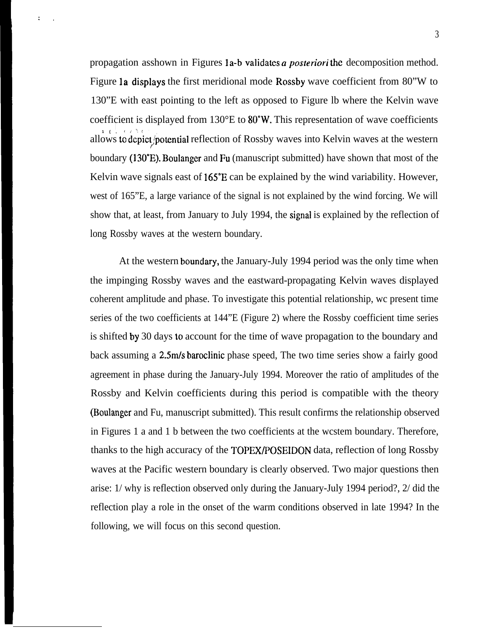propagation asshown in Figures 1a-b validates a posteriori the decomposition method. Figure 1a displays the first meridional mode Rossby wave coefficient from 80"W to 130"E with east pointing to the left as opposed to Figure lb where the Kelvin wave coefficient is displayed from 130°E to 80"W. This representation of wave coefficients  $\frac{1}{1}$ , (*i*),  $\frac{1}{2}$ allows to depict/potential reflection of Rossby waves into Kelvin waves at the western boundary (130°E). Boulanger and Fu (manuscript submitted) have shown that most of the Kelvin wave signals east of 165"E can be explained by the wind variability. However, west of 165"E, a large variance of the signal is not explained by the wind forcing. We will show that, at least, from January to July 1994, the signal is explained by the reflection of long Rossby waves at the western boundary.

:<br>:<br>:

At the western boundary, the January-July 1994 period was the only time when the impinging Rossby waves and the eastward-propagating Kelvin waves displayed coherent amplitude and phase. To investigate this potential relationship, wc present time series of the two coefficients at 144"E (Figure 2) where the Rossby coefficient time series is shifted by 30 days to account for the time of wave propagation to the boundary and back assuming a 2.5m/s baroclinic phase speed, The two time series show a fairly good agreement in phase during the January-July 1994. Moreover the ratio of amplitudes of the Rossby and Kelvin coefficients during this period is compatible with the theory (Boulanger and Fu, manuscript submitted). This result confirms the relationship observed in Figures 1 a and 1 b between the two coefficients at the wcstem boundary. Therefore, thanks to the high accuracy of the TOPEX/POSEIDON data, reflection of long Rossby waves at the Pacific western boundary is clearly observed. Two major questions then arise: 1/ why is reflection observed only during the January-July 1994 period?, 2/ did the reflection play a role in the onset of the warm conditions observed in late 1994? In the following, we will focus on this second question.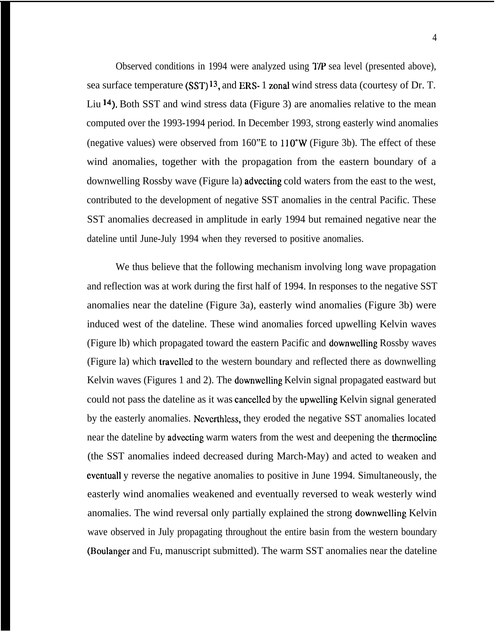Observed conditions in 1994 were analyzed using VP sea level (presented above), sea surface temperature (SST) 13, and ERS- 1 zonal wind stress data (courtesy of Dr. T. Liu 14). Both SST and wind stress data (Figure 3) are anomalies relative to the mean computed over the 1993-1994 period. In December 1993, strong easterly wind anomalies (negative values) were observed from  $160$ "E to  $110$ °W (Figure 3b). The effect of these wind anomalies, together with the propagation from the eastern boundary of a downwelling Rossby wave (Figure la) advecting cold waters from the east to the west, contributed to the development of negative SST anomalies in the central Pacific. These SST anomalies decreased in amplitude in early 1994 but remained negative near the dateline until June-July 1994 when they reversed to positive anomalies.

We thus believe that the following mechanism involving long wave propagation and reflection was at work during the first half of 1994. In responses to the negative SST anomalies near the dateline (Figure 3a), easterly wind anomalies (Figure 3b) were induced west of the dateline. These wind anomalies forced upwelling Kelvin waves (Figure lb) which propagated toward the eastern Pacific and downwclling Rossby waves (Figure la) which travclled to the western boundary and reflected there as downwelling Kelvin waves (Figures 1 and 2). The downwelling Kelvin signal propagated eastward but could not pass the dateline as it was canccllcd by the upwelling Kelvin signal generated by the easterly anomalies. Neverthless, they eroded the negative SST anomalies located near the dateline by advccting warm waters from the west and deepening the thermocline (the SST anomalies indeed decreased during March-May) and acted to weaken and evcntuall y reverse the negative anomalies to positive in June 1994. Simultaneously, the easterly wind anomalies weakened and eventually reversed to weak westerly wind anomalies. The wind reversal only partially explained the strong downwelling Kelvin wave observed in July propagating throughout the entire basin from the western boundary (Boulanger and Fu, manuscript submitted). The warm SST anomalies near the dateline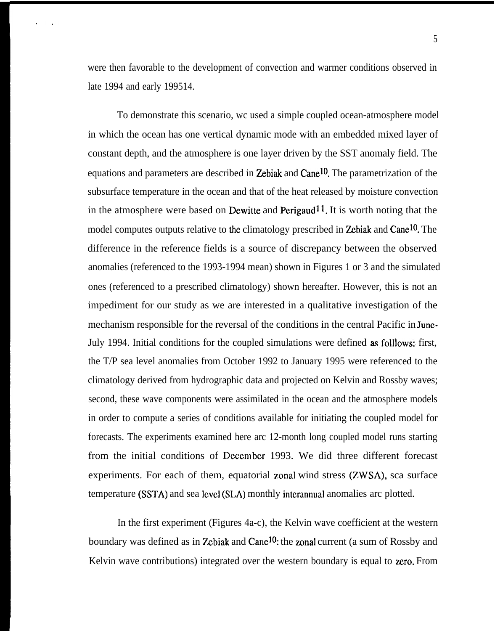were then favorable to the development of convection and warmer conditions observed in late 1994 and early 199514.

.,,

To demonstrate this scenario, wc used a simple coupled ocean-atmosphere model in which the ocean has one vertical dynamic mode with an embedded mixed layer of constant depth, and the atmosphere is one layer driven by the SST anomaly field. The equations and parameters are described in Zebiak and Cane<sup>10</sup>. The parametrization of the subsurface temperature in the ocean and that of the heat released by moisture convection in the atmosphere were based on Dewitte and Perigaud<sup>11</sup>. It is worth noting that the model computes outputs relative to the climatology prescribed in Zebiak and Cane<sup>10</sup>. The difference in the reference fields is a source of discrepancy between the observed anomalies (referenced to the 1993-1994 mean) shown in Figures 1 or 3 and the simulated ones (referenced to a prescribed climatology) shown hereafter. However, this is not an impediment for our study as we are interested in a qualitative investigation of the mechanism responsible for the reversal of the conditions in the central Pacific in Junc-July 1994. Initial conditions for the coupled simulations were defined as follows: first, the T/P sea level anomalies from October 1992 to January 1995 were referenced to the climatology derived from hydrographic data and projected on Kelvin and Rossby waves; second, these wave components were assimilated in the ocean and the atmosphere models in order to compute a series of conditions available for initiating the coupled model for forecasts. The experiments examined here arc 12-month long coupled model runs starting from the initial conditions of December 1993. We did three different forecast experiments. For each of them, equatorial zonal wind stress (ZWSA), sca surface temperature (SSTA) and sea level (SLA) monthly intcrannual anomalies arc plotted.

In the first experiment (Figures 4a-c), the Kelvin wave coefficient at the western boundary was defined as in Zebiak and Canc<sup>10</sup>: the zonal current (a sum of Rossby and Kelvin wave contributions) integrated over the western boundary is equal to zero. From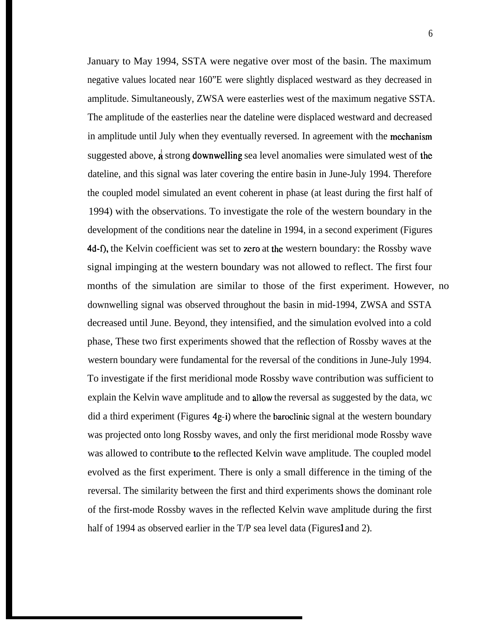January to May 1994, SSTA were negative over most of the basin. The maximum negative values located near 160"E were slightly displaced westward as they decreased in amplitude. Simultaneously, ZWSA were easterlies west of the maximum negative SSTA. The amplitude of the easterlies near the dateline were displaced westward and decreased in amplitude until July when they eventually reversed. In agreement with the meehanism suggested above,  $\vec{a}$  strong **downwelling** sea level anomalies were simulated west of the dateline, and this signal was later covering the entire basin in June-July 1994. Therefore the coupled model simulated an event coherent in phase (at least during the first half of 1994) with the observations. To investigate the role of the western boundary in the development of the conditions near the dateline in 1994, in a second experiment (Figures 4d-f), the Kelvin coefficient was set to zero at the western boundary: the Rossby wave signal impinging at the western boundary was not allowed to reflect. The first four months of the simulation are similar to those of the first experiment. However, no downwelling signal was observed throughout the basin in mid-1994, ZWSA and SSTA decreased until June. Beyond, they intensified, and the simulation evolved into a cold phase, These two first experiments showed that the reflection of Rossby waves at the western boundary were fundamental for the reversal of the conditions in June-July 1994. To investigate if the first meridional mode Rossby wave contribution was sufficient to explain the Kelvin wave amplitude and to allow the reversal as suggested by the data, wc did a third experiment (Figures 4g-i) where the baroclinic signal at the western boundary was projected onto long Rossby waves, and only the first meridional mode Rossby wave was allowed to contribute to the reflected Kelvin wave amplitude. The coupled model evolved as the first experiment. There is only a small difference in the timing of the reversal. The similarity between the first and third experiments shows the dominant role of the first-mode Rossby waves in the reflected Kelvin wave amplitude during the first half of 1994 as observed earlier in the  $T/P$  sea level data (Figures 1 and 2).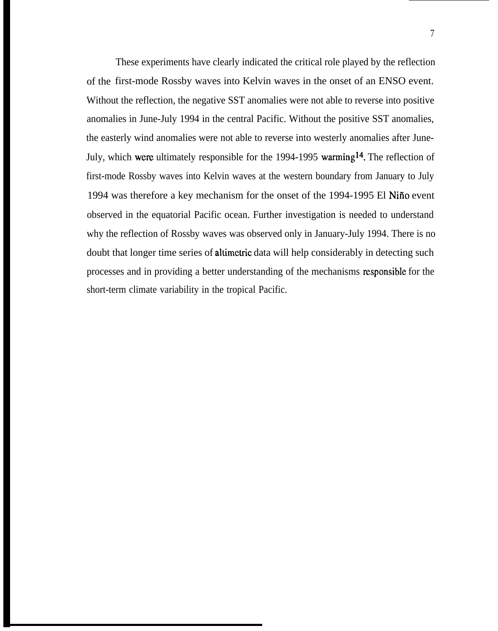of the first-mode Rossby waves into Kelvin waves in the onset of an ENSO event. These experiments have clearly indicated the critical role played by the reflection Without the reflection, the negative SST anomalies were not able to reverse into positive anomalies in June-July 1994 in the central Pacific. Without the positive SST anomalies, the easterly wind anomalies were not able to reverse into westerly anomalies after June-July, which were ultimately responsible for the  $1994-1995$  warming<sup>14</sup>. The reflection of first-mode Rossby waves into Kelvin waves at the western boundary from January to July 1994 was therefore a key mechanism for the onset of the 1994-1995 El Nifio event observed in the equatorial Pacific ocean. Further investigation is needed to understand why the reflection of Rossby waves was observed only in January-July 1994. There is no doubt that longer time series of altimetric data will help considerably in detecting such processes and in providing a better understanding of the mechanisms responsible for the short-term climate variability in the tropical Pacific.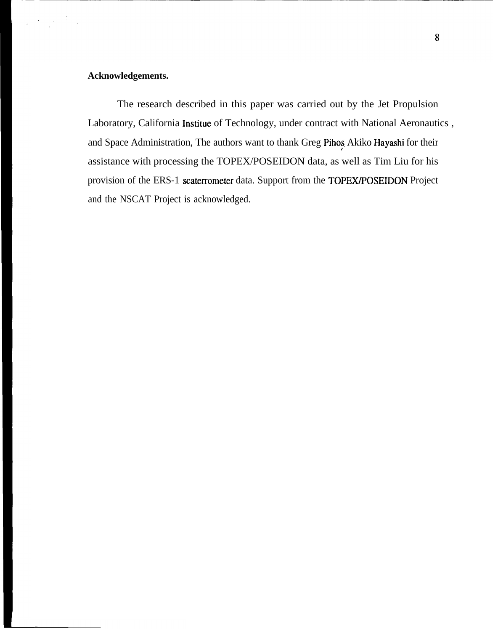## **Acknowledgements.**

 $\label{eq:2} \frac{1}{2} \left( \frac{1}{2} \frac{1}{2} \frac{1}{2} \frac{1}{2} \frac{1}{2} \frac{1}{2} \frac{1}{2} \frac{1}{2} \frac{1}{2} \frac{1}{2} \frac{1}{2} \frac{1}{2} \frac{1}{2} \frac{1}{2} \frac{1}{2} \frac{1}{2} \frac{1}{2} \frac{1}{2} \frac{1}{2} \frac{1}{2} \frac{1}{2} \frac{1}{2} \frac{1}{2} \frac{1}{2} \frac{1}{2} \frac{1}{2} \frac{1}{2} \frac{1}{2} \frac{1}{2}$ 

The research described in this paper was carried out by the Jet Propulsion Laboratory, California Institue of Technology, under contract with National Aeronautics , and Space Administration, The authors want to thank Greg Pihos, Akiko Hayashi for their r assistance with processing the TOPEX/POSEIDON data, as well as Tim Liu for his provision of the ERS-1 scaterrometer data. Support from the TOPEX/POSEIDON Project and the NSCAT Project is acknowledged.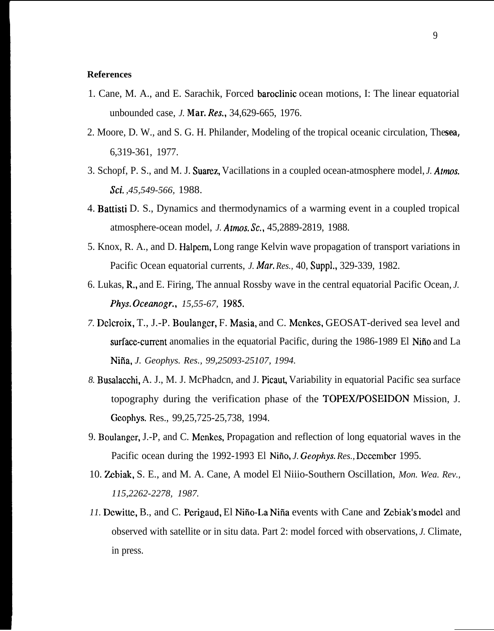## **References**

- 1. Cane, M. A., and E. Sarachik, Forced baroclinic ocean motions, I: The linear equatorial unbounded case, *J. Mar. Res.,* 34,629-665, 1976.
- 2. Moore, D. W., and S. G. H. Philander, Modeling of the tropical oceanic circulation, The *sea,* 6,319-361, 1977.
- 3. Schopf, P. S., and M. J. Suarez, Vacillations in a coupled ocean-atmosphere model, *J. Atmos. Sci. ,45,549-566,* 1988.
- 4. Battisti D. S., Dynamics and thermodynamics of a warming event in a coupled tropical atmosphere-ocean model, *J. Atmos. Sc.,* 45,2889-2819, 1988.
- 5. Knox, R. A., and D. Halpcm, Long range Kelvin wave propagation of transport variations in Pacific Ocean equatorial currents, *J. Mar, Res.,* 40, Suppl,, 329-339, 1982.
- 6. Lukas, R,, and E. Firing, The annual Rossby wave in the central equatorial Pacific Ocean, *J. Phys. Oceanogr., 15,55-67, 1985.*
- *7.* Dclcroix, T., J.-P. Boulangcr, F. Masia, and C. Mcnkcs, GEOSAT-derived sea level and surface-cument anomalies in the equatorial Pacific, during the 1986-1989 El Nifio and La Niña, *J. Geophys. Res., 99,25093-25107, 1994.*
- 8. Busalacchi, A. J., M. J. McPhadcn, and J. Picaut, Variability in equatorial Pacific sea surface topography during the verification phase of the TOPEX/POSEIDON Mission, J. Gcophys. Res., 99,25,725-25,738, 1994.
- 9. Boulanger, J.-P, and C. Mcnkcs, Propagation and reflection of long equatorial waves in the Pacific ocean during the 1992-1993 El Niño, *J. Geophys. Res.*, December 1995.
- 10. Zbiak, S. E., and M. A. Cane, A model El Niiio-Southern Oscillation, *Mon. Wea. Rev., 115,2262-2278, 1987.*
- 11. Dewitte, B., and C. Perigaud, El Niño-La Niña events with Cane and Zebiak's model and observed with satellite or in situ data. Part 2: model forced with observations, *J.* Climate, in press.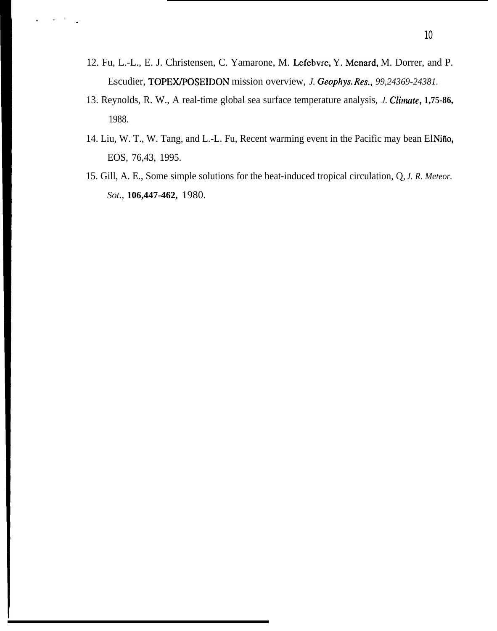12. Fu, L.-L., E. J. Christensen, C. Yamarone, M. Lefebvrc, Y. Mcnard, M. Dorrer, and P. Escudier, TOPEWPOSEIDON mission overview, *J. Geophys. Res., 99,24369-24381.*

... ,

- 13. Reynolds, R. W., A real-time global sea surface temperature analysis, *J. Climate*, 1,75-86, 1988.
- 14. Liu, W. T., W. Tang, and L.-L. Fu, Recent warming event in the Pacific may bean El Nifio, EOS, 76,43, 1995.
- 15. Gill, A. E., Some simple solutions for the heat-induced tropical circulation, Q, *J. R. Meteor. Sot.,* **106,447-462,** 1980.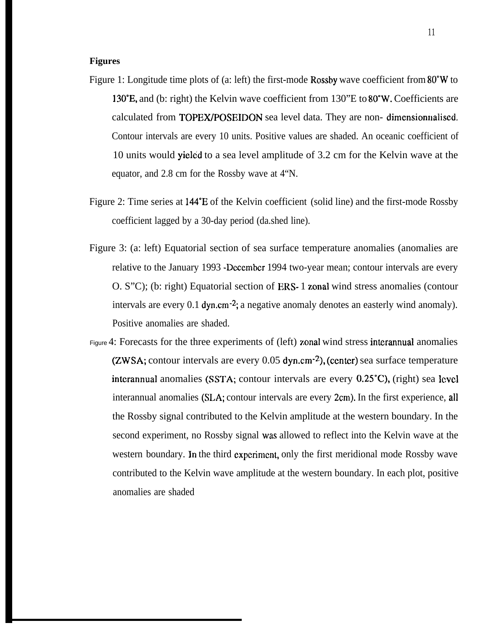## **Figures**

- Figure 1: Longitude time plots of (a: left) the first-mode Rossby wave coefficient from 80"W to 13WE, and (b: right) the Kelvin wave coefficient from 130"E to 80°W. Coefficients are calculated from TOPEX/POSEIDON sea level data. They are non-dimensionnalised. Contour intervals are every 10 units. Positive values are shaded. An oceanic coefficient of 10 units would yielcid to a sea level amplitude of 3.2 cm for the Kelvin wave at the equator, and 2.8 cm for the Rossby wave at 4"N.
- Figure 2: Time series at 144"E of the Kelvin coefficient (solid line) and the first-mode Rossby coefficient lagged by a 30-day period (da.shed line).
- Figure 3: (a: left) Equatorial section of sea surface temperature anomalies (anomalies are relative to the January 1993 -December 1994 two-year mean; contour intervals are every O. S"C); (b: right) Equatorial section of ERS- 1 zonal wind stress anomalies (contour intervals are every 0.1 dyn.cm $-2$ ; a negative anomaly denotes an easterly wind anomaly). Positive anomalies are shaded.
- Figure 4: Forecasts for the three experiments of (left) zonal wind stress interannual anomalies (ZWSA; contour intervals are every  $0.05$  dyn.cm<sup>-2</sup>), (center) sea surface temperature interannual anomalies (SSTA; contour intervals are every  $0.25^{\circ}$ C), (right) sea level interannual anomalies (SLA; contour intervals are every 2cm). In the first experience, all the Rossby signal contributed to the Kelvin amplitude at the western boundary. In the second experiment, no Rossby signal was allowed to reflect into the Kelvin wave at the western boundary. In the third experiment, only the first meridional mode Rossby wave contributed to the Kelvin wave amplitude at the western boundary. In each plot, positive anomalies are shaded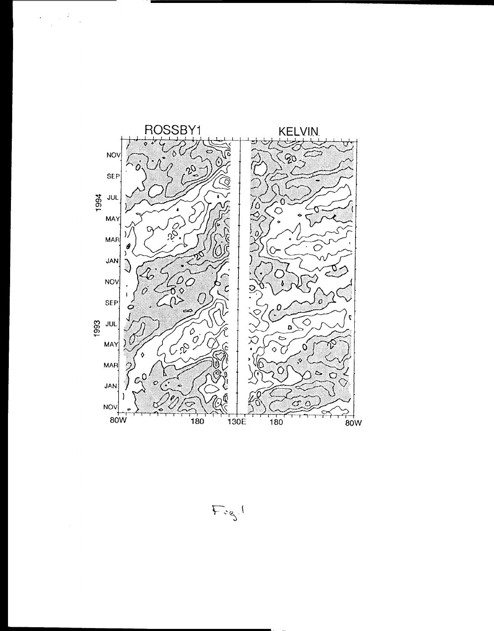



 $F_{cg}$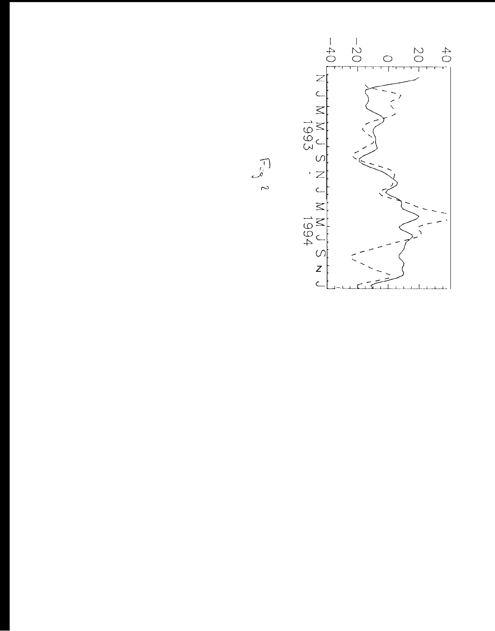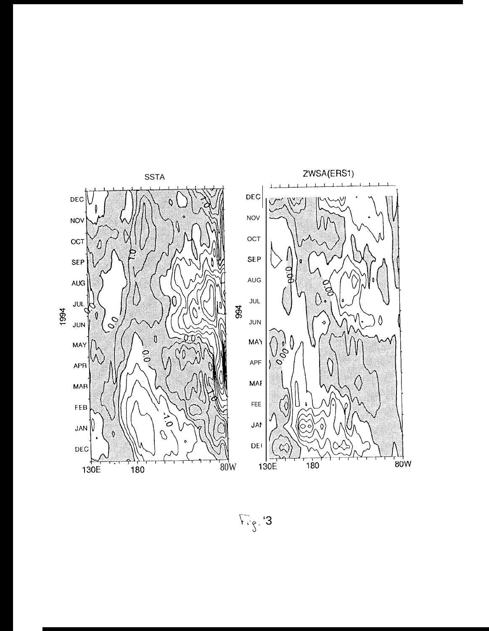

 $E_{\text{eff}}$  3